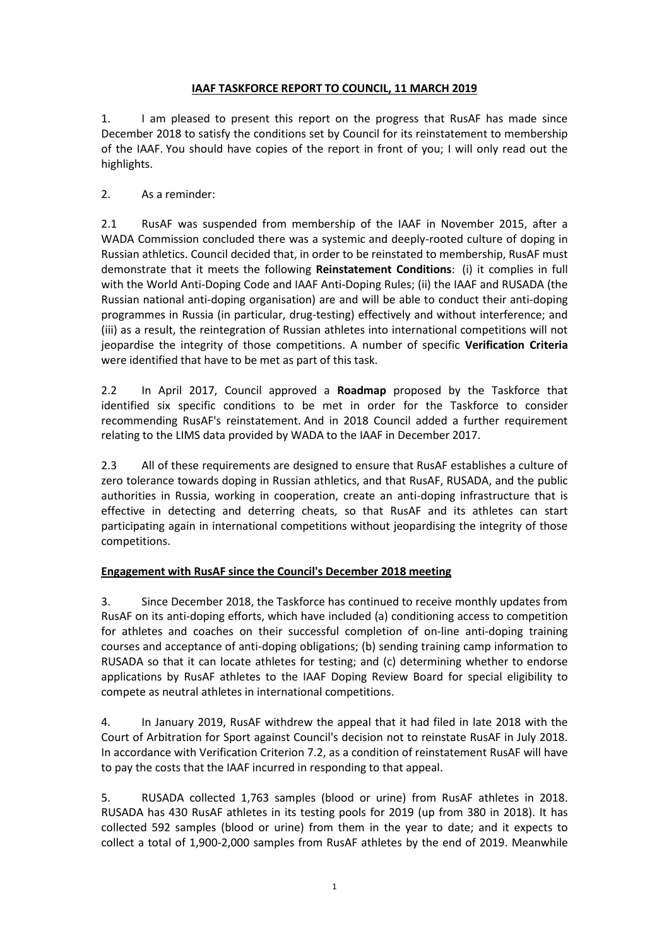# **IAAF TASKFORCE REPORT TO COUNCIL, 11 MARCH 2019**

1. I am pleased to present this report on the progress that RusAF has made since December 2018 to satisfy the conditions set by Council for its reinstatement to membership of the IAAF. You should have copies of the report in front of you; I will only read out the highlights.

# 2. As a reminder:

2.1 RusAF was suspended from membership of the IAAF in November 2015, after a WADA Commission concluded there was a systemic and deeply-rooted culture of doping in Russian athletics. Council decided that, in order to be reinstated to membership, RusAF must demonstrate that it meets the following **Reinstatement Conditions**: (i) it complies in full with the World Anti-Doping Code and IAAF Anti-Doping Rules; (ii) the IAAF and RUSADA (the Russian national anti-doping organisation) are and will be able to conduct their anti-doping programmes in Russia (in particular, drug-testing) effectively and without interference; and (iii) as a result, the reintegration of Russian athletes into international competitions will not jeopardise the integrity of those competitions. A number of specific **Verification Criteria** were identified that have to be met as part of this task.

2.2 In April 2017, Council approved a **Roadmap** proposed by the Taskforce that identified six specific conditions to be met in order for the Taskforce to consider recommending RusAF's reinstatement. And in 2018 Council added a further requirement relating to the LIMS data provided by WADA to the IAAF in December 2017.

2.3 All of these requirements are designed to ensure that RusAF establishes a culture of zero tolerance towards doping in Russian athletics, and that RusAF, RUSADA, and the public authorities in Russia, working in cooperation, create an anti-doping infrastructure that is effective in detecting and deterring cheats, so that RusAF and its athletes can start participating again in international competitions without jeopardising the integrity of those competitions.

# **Engagement with RusAF since the Council's December 2018 meeting**

3. Since December 2018, the Taskforce has continued to receive monthly updates from RusAF on its anti-doping efforts, which have included (a) conditioning access to competition for athletes and coaches on their successful completion of on-line anti-doping training courses and acceptance of anti-doping obligations; (b) sending training camp information to RUSADA so that it can locate athletes for testing; and (c) determining whether to endorse applications by RusAF athletes to the IAAF Doping Review Board for special eligibility to compete as neutral athletes in international competitions.

4. In January 2019, RusAF withdrew the appeal that it had filed in late 2018 with the Court of Arbitration for Sport against Council's decision not to reinstate RusAF in July 2018. In accordance with Verification Criterion 7.2, as a condition of reinstatement RusAF will have to pay the costs that the IAAF incurred in responding to that appeal.

5. RUSADA collected 1,763 samples (blood or urine) from RusAF athletes in 2018. RUSADA has 430 RusAF athletes in its testing pools for 2019 (up from 380 in 2018). It has collected 592 samples (blood or urine) from them in the year to date; and it expects to collect a total of 1,900-2,000 samples from RusAF athletes by the end of 2019. Meanwhile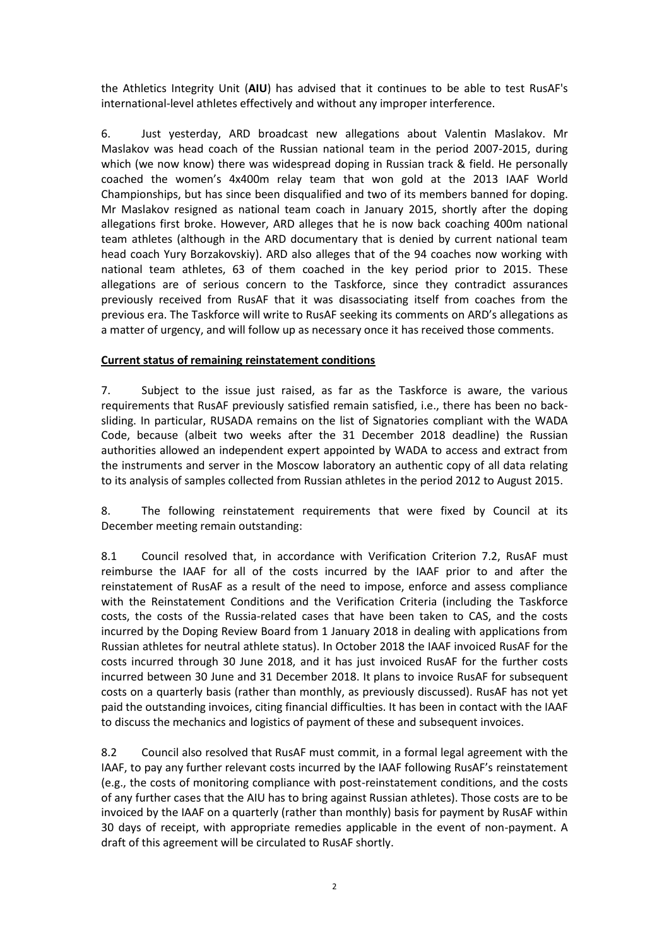the Athletics Integrity Unit (**AIU**) has advised that it continues to be able to test RusAF's international-level athletes effectively and without any improper interference.

6. Just yesterday, ARD broadcast new allegations about Valentin Maslakov. Mr Maslakov was head coach of the Russian national team in the period 2007-2015, during which (we now know) there was widespread doping in Russian track & field. He personally coached the women's 4x400m relay team that won gold at the 2013 IAAF World Championships, but has since been disqualified and two of its members banned for doping. Mr Maslakov resigned as national team coach in January 2015, shortly after the doping allegations first broke. However, ARD alleges that he is now back coaching 400m national team athletes (although in the ARD documentary that is denied by current national team head coach Yury Borzakovskiy). ARD also alleges that of the 94 coaches now working with national team athletes, 63 of them coached in the key period prior to 2015. These allegations are of serious concern to the Taskforce, since they contradict assurances previously received from RusAF that it was disassociating itself from coaches from the previous era. The Taskforce will write to RusAF seeking its comments on ARD's allegations as a matter of urgency, and will follow up as necessary once it has received those comments.

#### **Current status of remaining reinstatement conditions**

7. Subject to the issue just raised, as far as the Taskforce is aware, the various requirements that RusAF previously satisfied remain satisfied, i.e., there has been no backsliding. In particular, RUSADA remains on the list of Signatories compliant with the WADA Code, because (albeit two weeks after the 31 December 2018 deadline) the Russian authorities allowed an independent expert appointed by WADA to access and extract from the instruments and server in the Moscow laboratory an authentic copy of all data relating to its analysis of samples collected from Russian athletes in the period 2012 to August 2015.

8. The following reinstatement requirements that were fixed by Council at its December meeting remain outstanding:

8.1 Council resolved that, in accordance with Verification Criterion 7.2, RusAF must reimburse the IAAF for all of the costs incurred by the IAAF prior to and after the reinstatement of RusAF as a result of the need to impose, enforce and assess compliance with the Reinstatement Conditions and the Verification Criteria (including the Taskforce costs, the costs of the Russia-related cases that have been taken to CAS, and the costs incurred by the Doping Review Board from 1 January 2018 in dealing with applications from Russian athletes for neutral athlete status). In October 2018 the IAAF invoiced RusAF for the costs incurred through 30 June 2018, and it has just invoiced RusAF for the further costs incurred between 30 June and 31 December 2018. It plans to invoice RusAF for subsequent costs on a quarterly basis (rather than monthly, as previously discussed). RusAF has not yet paid the outstanding invoices, citing financial difficulties. It has been in contact with the IAAF to discuss the mechanics and logistics of payment of these and subsequent invoices.

8.2 Council also resolved that RusAF must commit, in a formal legal agreement with the IAAF, to pay any further relevant costs incurred by the IAAF following RusAF's reinstatement (e.g., the costs of monitoring compliance with post-reinstatement conditions, and the costs of any further cases that the AIU has to bring against Russian athletes). Those costs are to be invoiced by the IAAF on a quarterly (rather than monthly) basis for payment by RusAF within 30 days of receipt, with appropriate remedies applicable in the event of non-payment. A draft of this agreement will be circulated to RusAF shortly.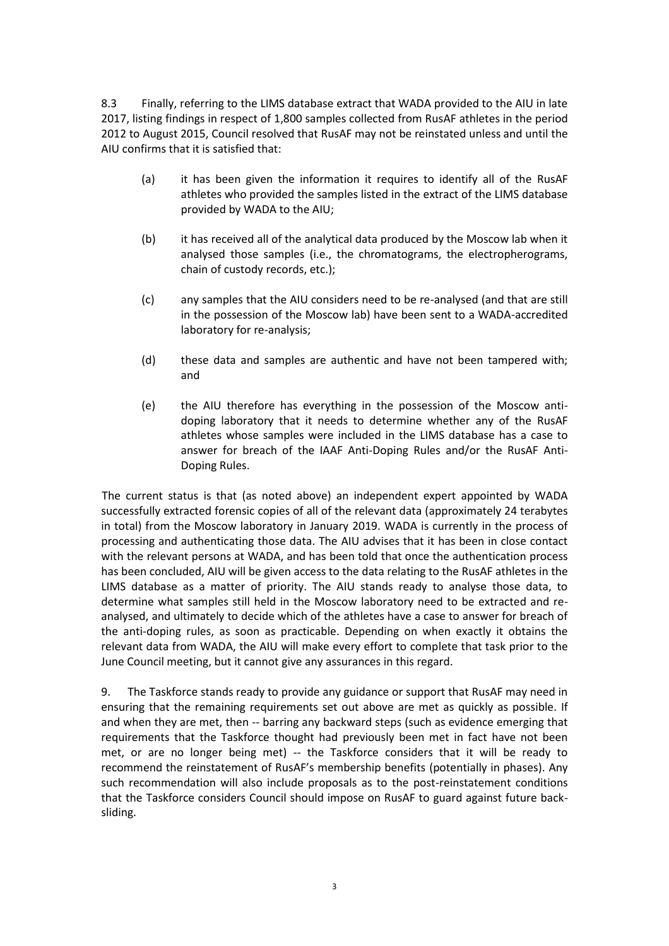8.3 Finally, referring to the LIMS database extract that WADA provided to the AIU in late 2017, listing findings in respect of 1,800 samples collected from RusAF athletes in the period 2012 to August 2015, Council resolved that RusAF may not be reinstated unless and until the AIU confirms that it is satisfied that:

- (a) it has been given the information it requires to identify all of the RusAF athletes who provided the samples listed in the extract of the LIMS database provided by WADA to the AIU;
- (b) it has received all of the analytical data produced by the Moscow lab when it analysed those samples (i.e., the chromatograms, the electropherograms, chain of custody records, etc.);
- (c) any samples that the AIU considers need to be re-analysed (and that are still in the possession of the Moscow lab) have been sent to a WADA-accredited laboratory for re-analysis;
- (d) these data and samples are authentic and have not been tampered with; and
- (e) the AIU therefore has everything in the possession of the Moscow antidoping laboratory that it needs to determine whether any of the RusAF athletes whose samples were included in the LIMS database has a case to answer for breach of the IAAF Anti-Doping Rules and/or the RusAF Anti-Doping Rules.

The current status is that (as noted above) an independent expert appointed by WADA successfully extracted forensic copies of all of the relevant data (approximately 24 terabytes in total) from the Moscow laboratory in January 2019. WADA is currently in the process of processing and authenticating those data. The AIU advises that it has been in close contact with the relevant persons at WADA, and has been told that once the authentication process has been concluded, AIU will be given access to the data relating to the RusAF athletes in the LIMS database as a matter of priority. The AIU stands ready to analyse those data, to determine what samples still held in the Moscow laboratory need to be extracted and reanalysed, and ultimately to decide which of the athletes have a case to answer for breach of the anti-doping rules, as soon as practicable. Depending on when exactly it obtains the relevant data from WADA, the AIU will make every effort to complete that task prior to the June Council meeting, but it cannot give any assurances in this regard.

9. The Taskforce stands ready to provide any guidance or support that RusAF may need in ensuring that the remaining requirements set out above are met as quickly as possible. If and when they are met, then -- barring any backward steps (such as evidence emerging that requirements that the Taskforce thought had previously been met in fact have not been met, or are no longer being met) -- the Taskforce considers that it will be ready to recommend the reinstatement of RusAF's membership benefits (potentially in phases). Any such recommendation will also include proposals as to the post-reinstatement conditions that the Taskforce considers Council should impose on RusAF to guard against future backsliding.